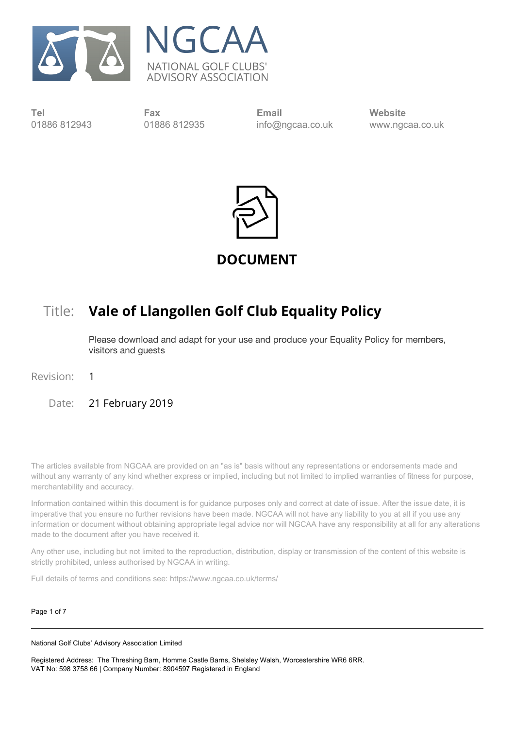



**Tel** 01886 812943

**Fax** 01886 812935

**Email** info@ngcaa.co.uk **Website** [www.ngcaa.co.uk](http://www.ngcaa.co.uk/)



**DOCUMENT**

# Title: **Vale of Llangollen Golf Club Equality Policy**

Please download and adapt for your use and produce your Equality Policy for members, visitors and guests

Revision: 1

Date: 21 February 2019

The articles available from NGCAA are provided on an "as is" basis without any representations or endorsements made and without any warranty of any kind whether express or implied, including but not limited to implied warranties of fitness for purpose, merchantability and accuracy.

Information contained within this document is for guidance purposes only and correct at date of issue. After the issue date, it is imperative that you ensure no further revisions have been made. NGCAA will not have any liability to you at all if you use any information or document without obtaining appropriate legal advice nor will NGCAA have any responsibility at all for any alterations made to the document after you have received it.

Any other use, including but not limited to the reproduction, distribution, display or transmission of the content of this website is strictly prohibited, unless authorised by NGCAA in writing.

Full details of terms and conditions see: https://www.ngcaa.co.uk/terms/

Page 1 of 7

National Golf Clubs' Advisory Association Limited

Registered Address: The Threshing Barn, Homme Castle Barns, Shelsley Walsh, Worcestershire WR6 6RR. VAT No: 598 3758 66 | Company Number: 8904597 Registered in England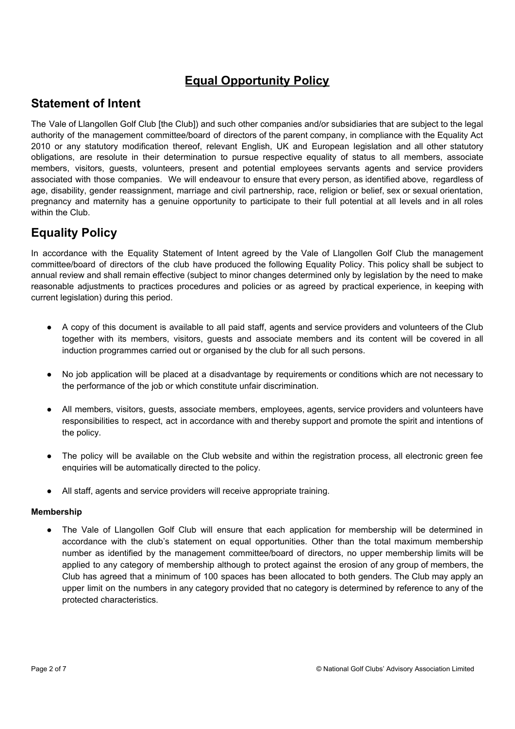# **Equal Opportunity Policy**

# **Statement of Intent**

The Vale of Llangollen Golf Club [the Club]) and such other companies and/or subsidiaries that are subject to the legal authority of the management committee/board of directors of the parent company, in compliance with the Equality Act 2010 or any statutory modification thereof, relevant English, UK and European legislation and all other statutory obligations, are resolute in their determination to pursue respective equality of status to all members, associate members, visitors, guests, volunteers, present and potential employees servants agents and service providers associated with those companies. We will endeavour to ensure that every person, as identified above, regardless of age, disability, gender reassignment, marriage and civil partnership, race, religion or belief, sex or sexual orientation, pregnancy and maternity has a genuine opportunity to participate to their full potential at all levels and in all roles within the Club.

# **Equality Policy**

In accordance with the Equality Statement of Intent agreed by the Vale of Llangollen Golf Club the management committee/board of directors of the club have produced the following Equality Policy. This policy shall be subject to annual review and shall remain effective (subject to minor changes determined only by legislation by the need to make reasonable adjustments to practices procedures and policies or as agreed by practical experience, in keeping with current legislation) during this period.

- A copy of this document is available to all paid staff, agents and service providers and volunteers of the Club together with its members, visitors, guests and associate members and its content will be covered in all induction programmes carried out or organised by the club for all such persons.
- No job application will be placed at a disadvantage by requirements or conditions which are not necessary to the performance of the job or which constitute unfair discrimination.
- All members, visitors, guests, associate members, employees, agents, service providers and volunteers have responsibilities to respect, act in accordance with and thereby support and promote the spirit and intentions of the policy.
- The policy will be available on the Club website and within the registration process, all electronic green fee enquiries will be automatically directed to the policy.
- **●** All staff, agents and service providers will receive appropriate training.

### **Membership**

The Vale of Llangollen Golf Club will ensure that each application for membership will be determined in accordance with the club's statement on equal opportunities. Other than the total maximum membership number as identified by the management committee/board of directors, no upper membership limits will be applied to any category of membership although to protect against the erosion of any group of members, the Club has agreed that a minimum of 100 spaces has been allocated to both genders. The Club may apply an upper limit on the numbers in any category provided that no category is determined by reference to any of the protected characteristics.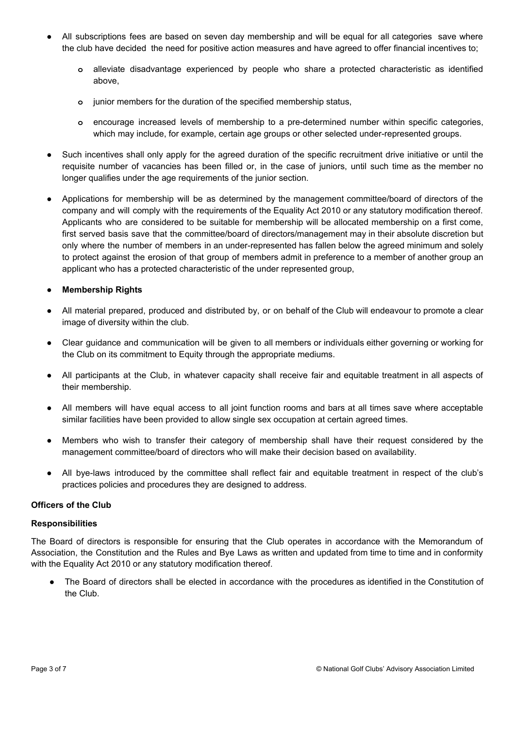- **●** All subscriptions fees are based on seven day membership and will be equal for all categories save where the club have decided the need for positive action measures and have agreed to offer financial incentives to;
	- **o** alleviate disadvantage experienced by people who share a protected characteristic as identified above,
	- **o** junior members for the duration of the specified membership status,
	- **o** encourage increased levels of membership to a pre-determined number within specific categories, which may include, for example, certain age groups or other selected under-represented groups.
- Such incentives shall only apply for the agreed duration of the specific recruitment drive initiative or until the requisite number of vacancies has been filled or, in the case of juniors, until such time as the member no longer qualifies under the age requirements of the junior section.
- **●** Applications for membership will be as determined by the management committee/board of directors of the company and will comply with the requirements of the Equality Act 2010 or any statutory modification thereof. Applicants who are considered to be suitable for membership will be allocated membership on a first come, first served basis save that the committee/board of directors/management may in their absolute discretion but only where the number of members in an under-represented has fallen below the agreed minimum and solely to protect against the erosion of that group of members admit in preference to a member of another group an applicant who has a protected characteristic of the under represented group,

## **● Membership Rights**

- **●** All material prepared, produced and distributed by, or on behalf of the Club will endeavour to promote a clear image of diversity within the club.
- **●** Clear guidance and communication will be given to all members or individuals either governing or working for the Club on its commitment to Equity through the appropriate mediums.
- **●** All participants at the Club, in whatever capacity shall receive fair and equitable treatment in all aspects of their membership.
- **●** All members will have equal access to all joint function rooms and bars at all times save where acceptable similar facilities have been provided to allow single sex occupation at certain agreed times.
- **●** Members who wish to transfer their category of membership shall have their request considered by the management committee/board of directors who will make their decision based on availability.
- All bye-laws introduced by the committee shall reflect fair and equitable treatment in respect of the club's practices policies and procedures they are designed to address.

### **Officers of the Club**

#### **Responsibilities**

The Board of directors is responsible for ensuring that the Club operates in accordance with the Memorandum of Association, the Constitution and the Rules and Bye Laws as written and updated from time to time and in conformity with the Equality Act 2010 or any statutory modification thereof.

● The Board of directors shall be elected in accordance with the procedures as identified in the Constitution of the Club.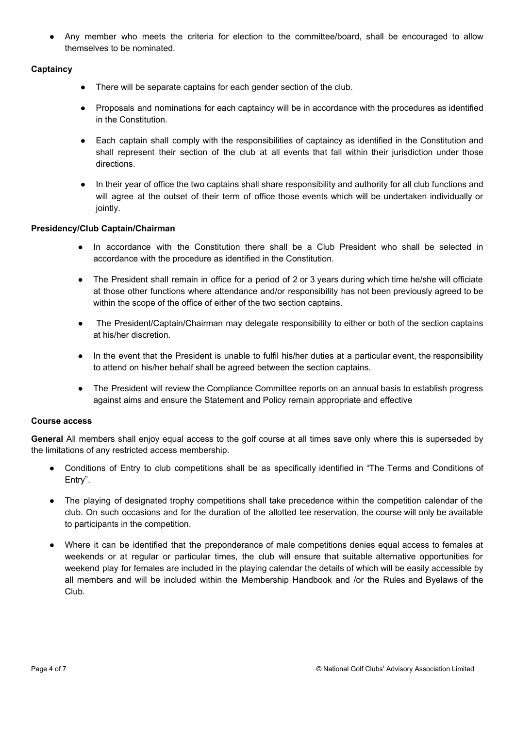● Any member who meets the criteria for election to the committee/board, shall be encouraged to allow themselves to be nominated.

## **Captaincy**

- There will be separate captains for each gender section of the club.
- **●** Proposals and nominations for each captaincy will be in accordance with the procedures as identified in the Constitution.
- **●** Each captain shall comply with the responsibilities of captaincy as identified in the Constitution and shall represent their section of the club at all events that fall within their jurisdiction under those directions.
- In their year of office the two captains shall share responsibility and authority for all club functions and will agree at the outset of their term of office those events which will be undertaken individually or jointly.

### **Presidency/Club Captain/Chairman**

- In accordance with the Constitution there shall be a Club President who shall be selected in accordance with the procedure as identified in the Constitution.
- The President shall remain in office for a period of 2 or 3 years during which time he/she will officiate at those other functions where attendance and/or responsibility has not been previously agreed to be within the scope of the office of either of the two section captains.
- The President/Captain/Chairman may delegate responsibility to either or both of the section captains at his/her discretion.
- In the event that the President is unable to fulfil his/her duties at a particular event, the responsibility to attend on his/her behalf shall be agreed between the section captains.
- The President will review the Compliance Committee reports on an annual basis to establish progress against aims and ensure the Statement and Policy remain appropriate and effective

### **Course access**

**General** All members shall enjoy equal access to the golf course at all times save only where this is superseded by the limitations of any restricted access membership.

- Conditions of Entry to club competitions shall be as specifically identified in "The Terms and Conditions of Entry".
- The playing of designated trophy competitions shall take precedence within the competition calendar of the club. On such occasions and for the duration of the allotted tee reservation, the course will only be available to participants in the competition.
- Where it can be identified that the preponderance of male competitions denies equal access to females at weekends or at regular or particular times, the club will ensure that suitable alternative opportunities for weekend play for females are included in the playing calendar the details of which will be easily accessible by all members and will be included within the Membership Handbook and /or the Rules and Byelaws of the Club.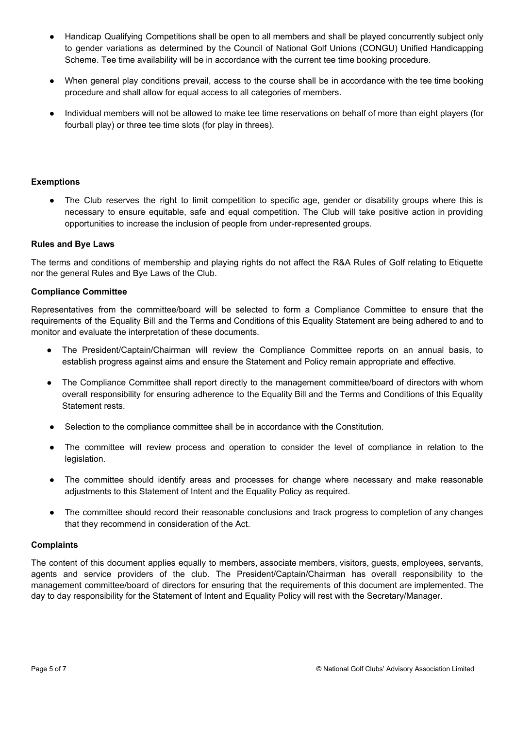- Handicap Qualifying Competitions shall be open to all members and shall be played concurrently subject only to gender variations as determined by the Council of National Golf Unions (CONGU) Unified Handicapping Scheme. Tee time availability will be in accordance with the current tee time booking procedure.
- When general play conditions prevail, access to the course shall be in accordance with the tee time booking procedure and shall allow for equal access to all categories of members.
- Individual members will not be allowed to make tee time reservations on behalf of more than eight players (for fourball play) or three tee time slots (for play in threes).

#### **Exemptions**

● The Club reserves the right to limit competition to specific age, gender or disability groups where this is necessary to ensure equitable, safe and equal competition. The Club will take positive action in providing opportunities to increase the inclusion of people from under-represented groups.

#### **Rules and Bye Laws**

The terms and conditions of membership and playing rights do not affect the R&A Rules of Golf relating to Etiquette nor the general Rules and Bye Laws of the Club.

#### **Compliance Committee**

Representatives from the committee/board will be selected to form a Compliance Committee to ensure that the requirements of the Equality Bill and the Terms and Conditions of this Equality Statement are being adhered to and to monitor and evaluate the interpretation of these documents.

- The President/Captain/Chairman will review the Compliance Committee reports on an annual basis, to establish progress against aims and ensure the Statement and Policy remain appropriate and effective.
- The Compliance Committee shall report directly to the management committee/board of directors with whom overall responsibility for ensuring adherence to the Equality Bill and the Terms and Conditions of this Equality Statement rests.
- Selection to the compliance committee shall be in accordance with the Constitution.
- The committee will review process and operation to consider the level of compliance in relation to the legislation.
- The committee should identify areas and processes for change where necessary and make reasonable adjustments to this Statement of Intent and the Equality Policy as required.
- **●** The committee should record their reasonable conclusions and track progress to completion of any changes that they recommend in consideration of the Act.

#### **Complaints**

The content of this document applies equally to members, associate members, visitors, guests, employees, servants, agents and service providers of the club. The President/Captain/Chairman has overall responsibility to the management committee/board of directors for ensuring that the requirements of this document are implemented. The day to day responsibility for the Statement of Intent and Equality Policy will rest with the Secretary/Manager.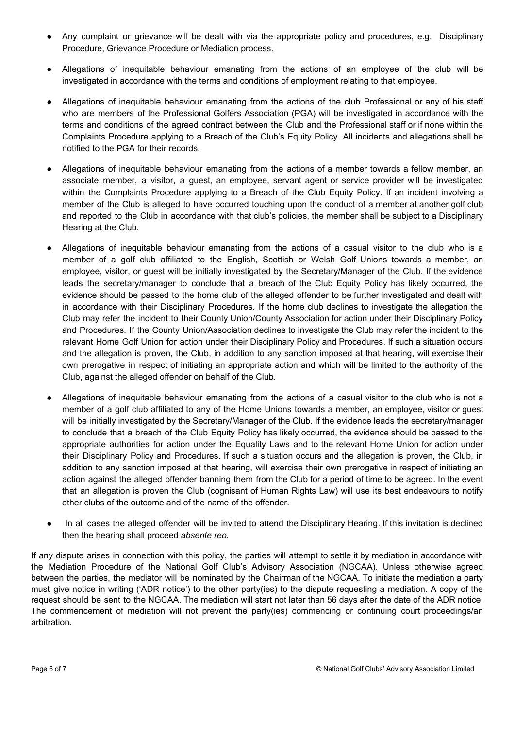- Any complaint or grievance will be dealt with via the appropriate policy and procedures, e.g. Disciplinary Procedure, Grievance Procedure or Mediation process.
- Allegations of inequitable behaviour emanating from the actions of an employee of the club will be investigated in accordance with the terms and conditions of employment relating to that employee.
- Allegations of inequitable behaviour emanating from the actions of the club Professional or any of his staff who are members of the Professional Golfers Association (PGA) will be investigated in accordance with the terms and conditions of the agreed contract between the Club and the Professional staff or if none within the Complaints Procedure applying to a Breach of the Club's Equity Policy. All incidents and allegations shall be notified to the PGA for their records.
- Allegations of inequitable behaviour emanating from the actions of a member towards a fellow member, an associate member, a visitor, a guest, an employee, servant agent or service provider will be investigated within the Complaints Procedure applying to a Breach of the Club Equity Policy. If an incident involving a member of the Club is alleged to have occurred touching upon the conduct of a member at another golf club and reported to the Club in accordance with that club's policies, the member shall be subject to a Disciplinary Hearing at the Club.
- Allegations of inequitable behaviour emanating from the actions of a casual visitor to the club who is a member of a golf club affiliated to the English, Scottish or Welsh Golf Unions towards a member, an employee, visitor, or guest will be initially investigated by the Secretary/Manager of the Club. If the evidence leads the secretary/manager to conclude that a breach of the Club Equity Policy has likely occurred, the evidence should be passed to the home club of the alleged offender to be further investigated and dealt with in accordance with their Disciplinary Procedures. If the home club declines to investigate the allegation the Club may refer the incident to their County Union/County Association for action under their Disciplinary Policy and Procedures. If the County Union/Association declines to investigate the Club may refer the incident to the relevant Home Golf Union for action under their Disciplinary Policy and Procedures. If such a situation occurs and the allegation is proven, the Club, in addition to any sanction imposed at that hearing, will exercise their own prerogative in respect of initiating an appropriate action and which will be limited to the authority of the Club, against the alleged offender on behalf of the Club.
- Allegations of inequitable behaviour emanating from the actions of a casual visitor to the club who is not a member of a golf club affiliated to any of the Home Unions towards a member, an employee, visitor or guest will be initially investigated by the Secretary/Manager of the Club. If the evidence leads the secretary/manager to conclude that a breach of the Club Equity Policy has likely occurred, the evidence should be passed to the appropriate authorities for action under the Equality Laws and to the relevant Home Union for action under their Disciplinary Policy and Procedures. If such a situation occurs and the allegation is proven, the Club, in addition to any sanction imposed at that hearing, will exercise their own prerogative in respect of initiating an action against the alleged offender banning them from the Club for a period of time to be agreed. In the event that an allegation is proven the Club (cognisant of Human Rights Law) will use its best endeavours to notify other clubs of the outcome and of the name of the offender.
- In all cases the alleged offender will be invited to attend the Disciplinary Hearing. If this invitation is declined then the hearing shall proceed *absente reo.*

If any dispute arises in connection with this policy, the parties will attempt to settle it by mediation in accordance with the Mediation Procedure of the National Golf Club's Advisory Association (NGCAA). Unless otherwise agreed between the parties, the mediator will be nominated by the Chairman of the NGCAA. To initiate the mediation a party must give notice in writing ('ADR notice') to the other party(ies) to the dispute requesting a mediation. A copy of the request should be sent to the NGCAA. The mediation will start not later than 56 days after the date of the ADR notice. The commencement of mediation will not prevent the party(ies) commencing or continuing court proceedings/an arbitration.